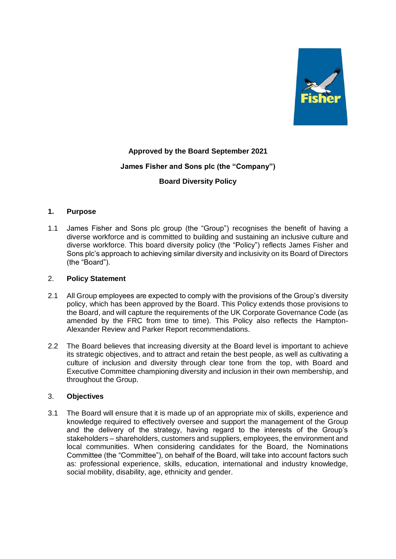

# **Approved by the Board September 2021 James Fisher and Sons plc (the "Company") Board Diversity Policy**

## **1. Purpose**

1.1 James Fisher and Sons plc group (the "Group") recognises the benefit of having a diverse workforce and is committed to building and sustaining an inclusive culture and diverse workforce. This board diversity policy (the "Policy") reflects James Fisher and Sons plc's approach to achieving similar diversity and inclusivity on its Board of Directors (the "Board").

#### 2. **Policy Statement**

- 2.1 All Group employees are expected to comply with the provisions of the Group's diversity policy, which has been approved by the Board. This Policy extends those provisions to the Board, and will capture the requirements of the UK Corporate Governance Code (as amended by the FRC from time to time). This Policy also reflects the Hampton-Alexander Review and Parker Report recommendations.
- 2.2 The Board believes that increasing diversity at the Board level is important to achieve its strategic objectives, and to attract and retain the best people, as well as cultivating a culture of inclusion and diversity through clear tone from the top, with Board and Executive Committee championing diversity and inclusion in their own membership, and throughout the Group.

## 3. **Objectives**

3.1 The Board will ensure that it is made up of an appropriate mix of skills, experience and knowledge required to effectively oversee and support the management of the Group and the delivery of the strategy, having regard to the interests of the Group's stakeholders – shareholders, customers and suppliers, employees, the environment and local communities. When considering candidates for the Board, the Nominations Committee (the "Committee"), on behalf of the Board, will take into account factors such as: professional experience, skills, education, international and industry knowledge, social mobility, disability, age, ethnicity and gender.